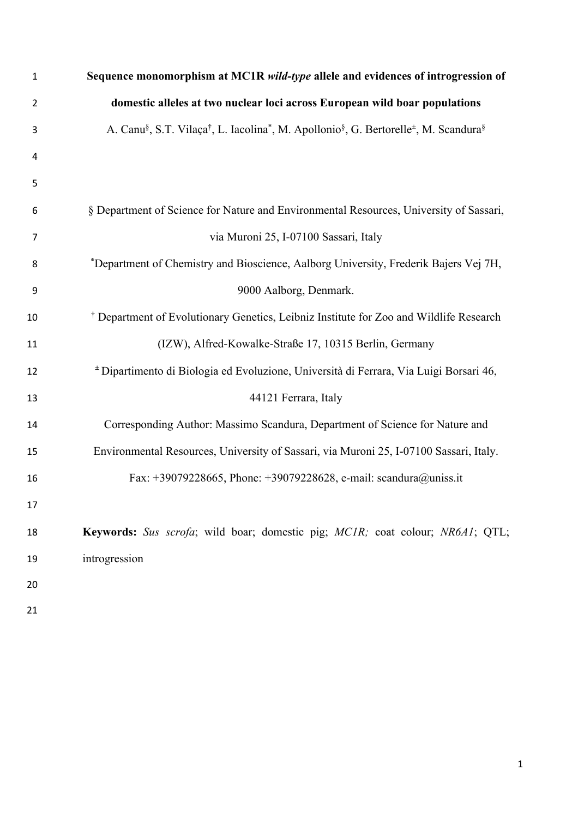| 1  | Sequence monomorphism at MC1R wild-type allele and evidences of introgression of                                                                               |
|----|----------------------------------------------------------------------------------------------------------------------------------------------------------------|
| 2  | domestic alleles at two nuclear loci across European wild boar populations                                                                                     |
| 3  | A. Canu <sup>§</sup> , S.T. Vilaça <sup>†</sup> , L. Iacolina <sup>*</sup> , M. Apollonio <sup>§</sup> , G. Bertorelle <sup>±</sup> , M. Scandura <sup>§</sup> |
| 4  |                                                                                                                                                                |
| 5  |                                                                                                                                                                |
| 6  | § Department of Science for Nature and Environmental Resources, University of Sassari,                                                                         |
| 7  | via Muroni 25, I-07100 Sassari, Italy                                                                                                                          |
| 8  | *Department of Chemistry and Bioscience, Aalborg University, Frederik Bajers Vej 7H,                                                                           |
| 9  | 9000 Aalborg, Denmark.                                                                                                                                         |
| 10 | <sup>†</sup> Department of Evolutionary Genetics, Leibniz Institute for Zoo and Wildlife Research                                                              |
| 11 | (IZW), Alfred-Kowalke-Straße 17, 10315 Berlin, Germany                                                                                                         |
| 12 | * Dipartimento di Biologia ed Evoluzione, Università di Ferrara, Via Luigi Borsari 46,                                                                         |
| 13 | 44121 Ferrara, Italy                                                                                                                                           |
| 14 | Corresponding Author: Massimo Scandura, Department of Science for Nature and                                                                                   |
| 15 | Environmental Resources, University of Sassari, via Muroni 25, I-07100 Sassari, Italy.                                                                         |
| 16 | Fax: +39079228665, Phone: +39079228628, e-mail: scandura@uniss.it                                                                                              |
| 17 |                                                                                                                                                                |
| 18 | Keywords: Sus scrofa; wild boar; domestic pig; MCIR; coat colour; NR6A1; QTL;                                                                                  |
| 19 | introgression                                                                                                                                                  |
| 20 |                                                                                                                                                                |
| 21 |                                                                                                                                                                |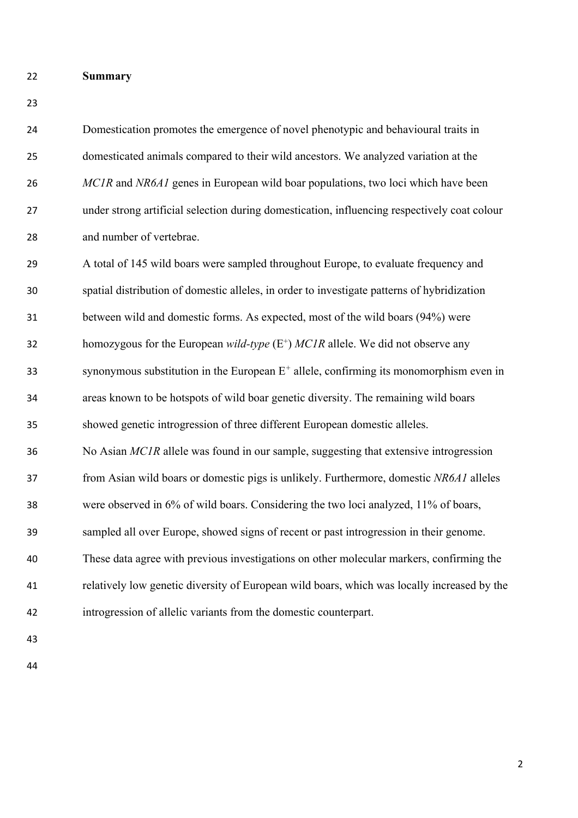- **Summary**
- 

 Domestication promotes the emergence of novel phenotypic and behavioural traits in domesticated animals compared to their wild ancestors. We analyzed variation at the *MC1R* and *NR6A1* genes in European wild boar populations, two loci which have been under strong artificial selection during domestication, influencing respectively coat colour and number of vertebrae.

 A total of 145 wild boars were sampled throughout Europe, to evaluate frequency and spatial distribution of domestic alleles, in order to investigate patterns of hybridization between wild and domestic forms. As expected, most of the wild boars (94%) were homozygous for the European *wild-type* (E<sup>+</sup>) *MC1R* allele. We did not observe any synonymous substitution in the European  $E^+$  allele, confirming its monomorphism even in areas known to be hotspots of wild boar genetic diversity. The remaining wild boars showed genetic introgression of three different European domestic alleles. No Asian *MC1R* allele was found in our sample, suggesting that extensive introgression from Asian wild boars or domestic pigs is unlikely. Furthermore, domestic *NR6A1* alleles were observed in 6% of wild boars. Considering the two loci analyzed, 11% of boars, sampled all over Europe, showed signs of recent or past introgression in their genome. These data agree with previous investigations on other molecular markers, confirming the relatively low genetic diversity of European wild boars, which was locally increased by the introgression of allelic variants from the domestic counterpart.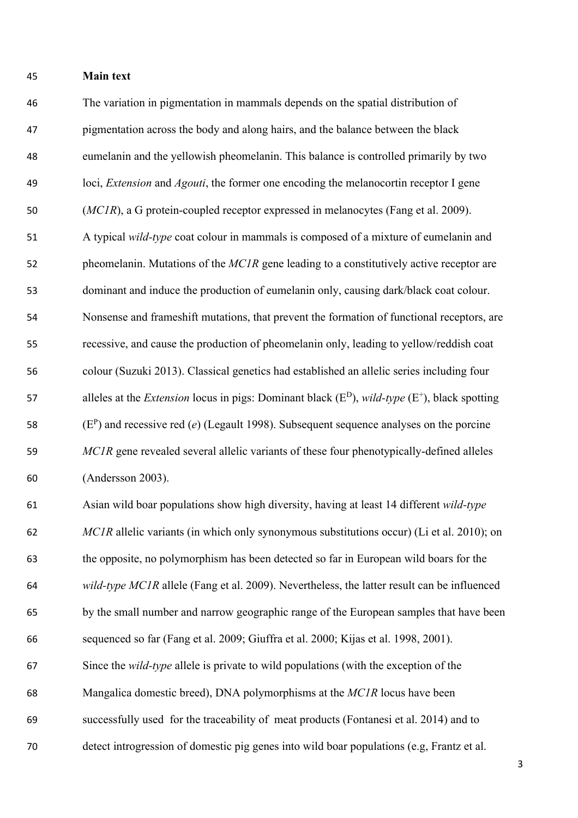## **Main text**

 The variation in pigmentation in mammals depends on the spatial distribution of pigmentation across the body and along hairs, and the balance between the black eumelanin and the yellowish pheomelanin. This balance is controlled primarily by two loci, *Extension* and *Agouti*, the former one encoding the melanocortin receptor I gene (*MC1R*), a G protein-coupled receptor expressed in melanocytes (Fang et al. 2009). A typical *wild-type* coat colour in mammals is composed of a mixture of eumelanin and 52 pheomelanin. Mutations of the *MC1R* gene leading to a constitutively active receptor are dominant and induce the production of eumelanin only, causing dark/black coat colour. Nonsense and frameshift mutations, that prevent the formation of functional receptors, are recessive, and cause the production of pheomelanin only, leading to yellow/reddish coat colour (Suzuki 2013). Classical genetics had established an allelic series including four alleles at the *Extension* locus in pigs: Dominant black (E<sup>D</sup>), *wild-type* (E<sup>+</sup>), black spotting  $(E^P)$  and recessive red (*e*) (Legault 1998). Subsequent sequence analyses on the porcine *MC1R* gene revealed several allelic variants of these four phenotypically-defined alleles (Andersson 2003). Asian wild boar populations show high diversity, having at least 14 different *wild-type MC1R* allelic variants (in which only synonymous substitutions occur) (Li et al. 2010); on the opposite, no polymorphism has been detected so far in European wild boars for the *wild-type MC1R* allele (Fang et al. 2009). Nevertheless, the latter result can be influenced by the small number and narrow geographic range of the European samples that have been sequenced so far (Fang et al. 2009; Giuffra et al. 2000; Kijas et al. 1998, 2001). Since the *wild-type* allele is private to wild populations (with the exception of the Mangalica domestic breed), DNA polymorphisms at the *MC1R* locus have been successfully used for the traceability of meat products (Fontanesi et al. 2014) and to

detect introgression of domestic pig genes into wild boar populations (e.g, Frantz et al.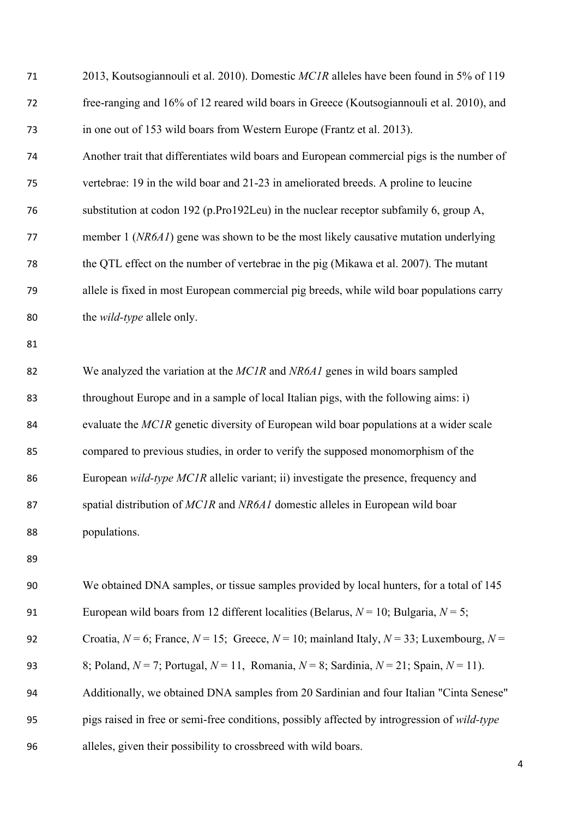| 71 | 2013, Koutsogiannouli et al. 2010). Domestic MC1R alleles have been found in 5% of 119                |
|----|-------------------------------------------------------------------------------------------------------|
| 72 | free-ranging and 16% of 12 reared wild boars in Greece (Koutsogiannouli et al. 2010), and             |
| 73 | in one out of 153 wild boars from Western Europe (Frantz et al. 2013).                                |
| 74 | Another trait that differentiates wild boars and European commercial pigs is the number of            |
| 75 | vertebrae: 19 in the wild boar and 21-23 in ameliorated breeds. A proline to leucine                  |
| 76 | substitution at codon 192 (p.Pro192Leu) in the nuclear receptor subfamily 6, group A,                 |
| 77 | member 1 (NR6A1) gene was shown to be the most likely causative mutation underlying                   |
| 78 | the QTL effect on the number of vertebrae in the pig (Mikawa et al. 2007). The mutant                 |
| 79 | allele is fixed in most European commercial pig breeds, while wild boar populations carry             |
| 80 | the <i>wild-type</i> allele only.                                                                     |
| 81 |                                                                                                       |
| 82 | We analyzed the variation at the MC1R and NR6A1 genes in wild boars sampled                           |
| 83 | throughout Europe and in a sample of local Italian pigs, with the following aims: i)                  |
| 84 | evaluate the MCIR genetic diversity of European wild boar populations at a wider scale                |
| 85 | compared to previous studies, in order to verify the supposed monomorphism of the                     |
| 86 | European wild-type MC1R allelic variant; ii) investigate the presence, frequency and                  |
| 87 | spatial distribution of MCIR and NR6A1 domestic alleles in European wild boar                         |
| 88 | populations.                                                                                          |
| 89 |                                                                                                       |
| 90 | We obtained DNA samples, or tissue samples provided by local hunters, for a total of 145              |
| 91 | European wild boars from 12 different localities (Belarus, $N = 10$ ; Bulgaria, $N = 5$ ;             |
| 92 | Croatia, $N = 6$ ; France, $N = 15$ ; Greece, $N = 10$ ; mainland Italy, $N = 33$ ; Luxembourg, $N =$ |
| 93 | 8; Poland, $N = 7$ ; Portugal, $N = 11$ , Romania, $N = 8$ ; Sardinia, $N = 21$ ; Spain, $N = 11$ ).  |
| 94 | Additionally, we obtained DNA samples from 20 Sardinian and four Italian "Cinta Senese"               |
| 95 | pigs raised in free or semi-free conditions, possibly affected by introgression of wild-type          |
| 96 | alleles, given their possibility to crossbreed with wild boars.                                       |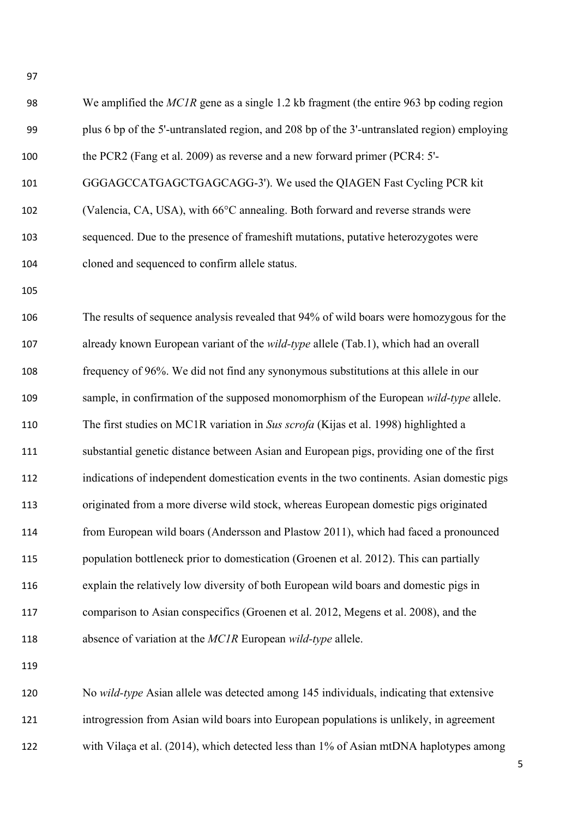| 98  | We amplified the $MCIR$ gene as a single 1.2 kb fragment (the entire 963 bp coding region    |
|-----|----------------------------------------------------------------------------------------------|
| 99  | plus 6 bp of the 5'-untranslated region, and 208 bp of the 3'-untranslated region) employing |
| 100 | the PCR2 (Fang et al. 2009) as reverse and a new forward primer (PCR4: 5'-                   |
| 101 | GGGAGCCATGAGCTGAGCAGG-3'). We used the QIAGEN Fast Cycling PCR kit                           |
| 102 | (Valencia, CA, USA), with 66°C annealing. Both forward and reverse strands were              |
| 103 | sequenced. Due to the presence of frameshift mutations, putative heterozygotes were          |
| 104 | cloned and sequenced to confirm allele status.                                               |
| 105 |                                                                                              |
| 106 | The results of sequence analysis revealed that 94% of wild boars were homozygous for the     |
| 107 | already known European variant of the wild-type allele (Tab.1), which had an overall         |
| 108 | frequency of 96%. We did not find any synonymous substitutions at this allele in our         |
| 109 | sample, in confirmation of the supposed monomorphism of the European wild-type allele.       |
| 110 | The first studies on MC1R variation in Sus scrofa (Kijas et al. 1998) highlighted a          |
| 111 | substantial genetic distance between Asian and European pigs, providing one of the first     |
| 112 | indications of independent domestication events in the two continents. Asian domestic pigs   |
| 113 | originated from a more diverse wild stock, whereas European domestic pigs originated         |
| 114 | from European wild boars (Andersson and Plastow 2011), which had faced a pronounced          |
| 115 | population bottleneck prior to domestication (Groenen et al. 2012). This can partially       |
| 116 | explain the relatively low diversity of both European wild boars and domestic pigs in        |
| 117 | comparison to Asian conspecifics (Groenen et al. 2012, Megens et al. 2008), and the          |
| 118 | absence of variation at the MCIR European wild-type allele.                                  |
| 119 |                                                                                              |
| 120 | No wild-type Asian allele was detected among 145 individuals, indicating that extensive      |

 introgression from Asian wild boars into European populations is unlikely, in agreement 122 with Vilaça et al. (2014), which detected less than 1% of Asian mtDNA haplotypes among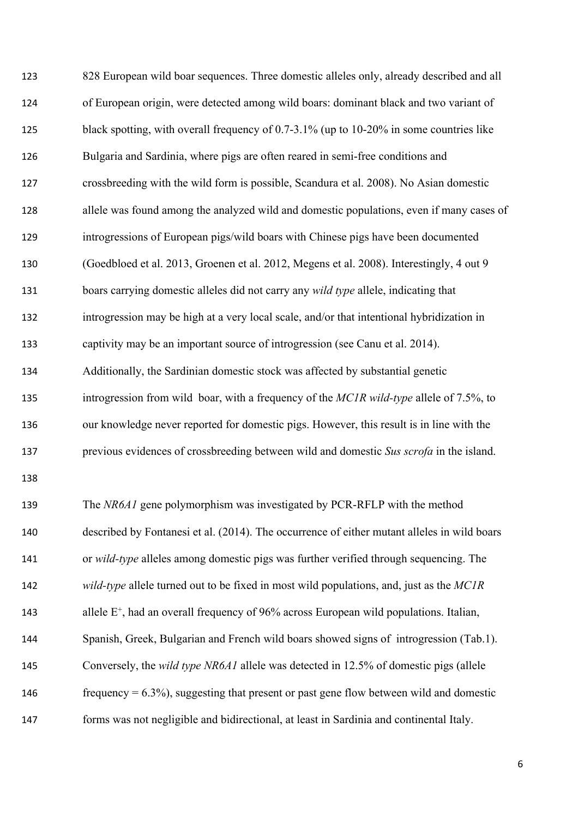828 European wild boar sequences. Three domestic alleles only, already described and all of European origin, were detected among wild boars: dominant black and two variant of black spotting, with overall frequency of 0.7-3.1% (up to 10-20% in some countries like Bulgaria and Sardinia, where pigs are often reared in semi-free conditions and crossbreeding with the wild form is possible, Scandura et al. 2008). No Asian domestic allele was found among the analyzed wild and domestic populations, even if many cases of introgressions of European pigs/wild boars with Chinese pigs have been documented (Goedbloed et al. 2013, Groenen et al. 2012, Megens et al. 2008). Interestingly, 4 out 9 boars carrying domestic alleles did not carry any *wild type* allele, indicating that introgression may be high at a very local scale, and/or that intentional hybridization in captivity may be an important source of introgression (see Canu et al. 2014). Additionally, the Sardinian domestic stock was affected by substantial genetic introgression from wild boar, with a frequency of the *MC1R wild-type* allele of 7.5%, to our knowledge never reported for domestic pigs. However, this result is in line with the previous evidences of crossbreeding between wild and domestic *Sus scrofa* in the island. The *NR6A1* gene polymorphism was investigated by PCR-RFLP with the method described by Fontanesi et al. (2014). The occurrence of either mutant alleles in wild boars or *wild-type* alleles among domestic pigs was further verified through sequencing. The *wild-type* allele turned out to be fixed in most wild populations, and, just as the *MC1R* 143 allele  $E^+$ , had an overall frequency of 96% across European wild populations. Italian, Spanish, Greek, Bulgarian and French wild boars showed signs of introgression (Tab.1). Conversely, the *wild type NR6A1* allele was detected in 12.5% of domestic pigs (allele 146 frequency  $= 6.3\%$ , suggesting that present or past gene flow between wild and domestic forms was not negligible and bidirectional, at least in Sardinia and continental Italy.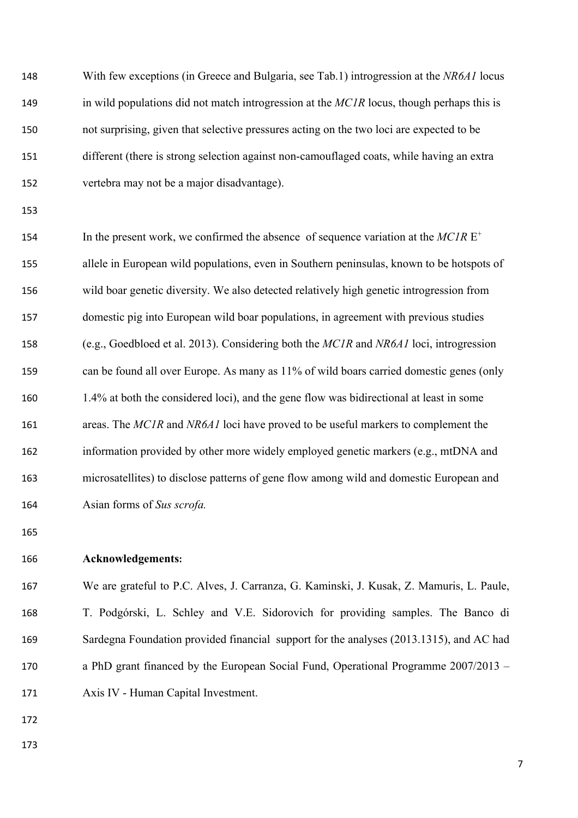| 148 | With few exceptions (in Greece and Bulgaria, see Tab.1) introgression at the NR6A1 locus    |
|-----|---------------------------------------------------------------------------------------------|
| 149 | in wild populations did not match introgression at the $MCIR$ locus, though perhaps this is |
| 150 | not surprising, given that selective pressures acting on the two loci are expected to be    |
| 151 | different (there is strong selection against non-camouflaged coats, while having an extra   |
| 152 | vertebra may not be a major disadvantage).                                                  |
| 153 |                                                                                             |
| 154 | In the present work, we confirmed the absence of sequence variation at the $MCIRE^+$        |
| 155 | allele in European wild populations, even in Southern peninsulas, known to be hotspots of   |
| 156 | wild boar genetic diversity. We also detected relatively high genetic introgression from    |
| 157 | domestic pig into European wild boar populations, in agreement with previous studies        |
| 158 | (e.g., Goedbloed et al. 2013). Considering both the MC1R and NR6A1 loci, introgression      |
| 159 | can be found all over Europe. As many as 11% of wild boars carried domestic genes (only     |
| 160 | 1.4% at both the considered loci), and the gene flow was bidirectional at least in some     |
| 161 | areas. The MC1R and NR6A1 loci have proved to be useful markers to complement the           |
| 162 | information provided by other more widely employed genetic markers (e.g., mtDNA and         |
| 163 | microsatellites) to disclose patterns of gene flow among wild and domestic European and     |
| 164 | Asian forms of Sus scrofa.                                                                  |
| 165 |                                                                                             |
| 166 | Acknowledgements:                                                                           |
| 167 | We are grateful to P.C. Alves, J. Carranza, G. Kaminski, J. Kusak, Z. Mamuris, L. Paule,    |
| 168 | T. Podgórski, L. Schley and V.E. Sidorovich for providing samples. The Banco di             |
| 169 | Sardegna Foundation provided financial support for the analyses (2013.1315), and AC had     |
| 170 | a PhD grant financed by the European Social Fund, Operational Programme 2007/2013 -         |

- Axis IV Human Capital Investment.
- 
-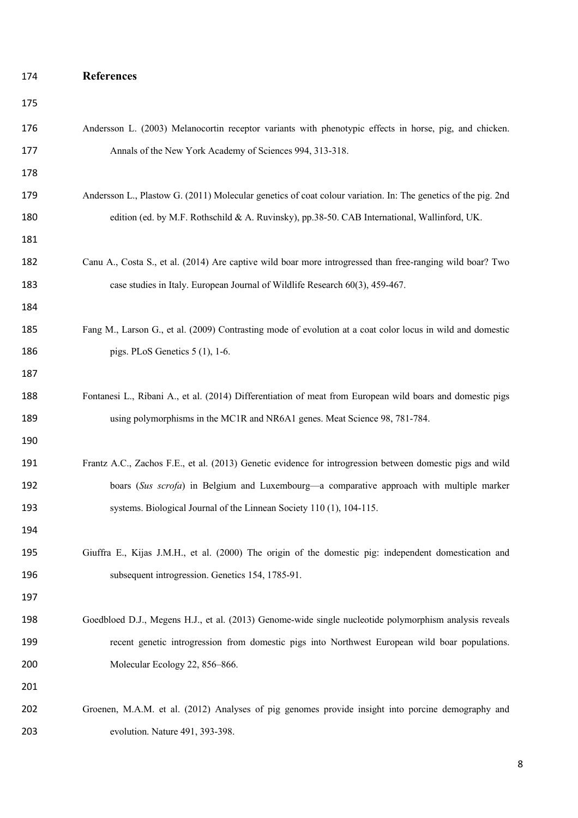## **References**

| 175 |                                                                                                               |
|-----|---------------------------------------------------------------------------------------------------------------|
| 176 | Andersson L. (2003) Melanocortin receptor variants with phenotypic effects in horse, pig, and chicken.        |
| 177 | Annals of the New York Academy of Sciences 994, 313-318.                                                      |
| 178 |                                                                                                               |
| 179 | Andersson L., Plastow G. (2011) Molecular genetics of coat colour variation. In: The genetics of the pig. 2nd |
| 180 | edition (ed. by M.F. Rothschild & A. Ruvinsky), pp.38-50. CAB International, Wallinford, UK.                  |
| 181 |                                                                                                               |
| 182 | Canu A., Costa S., et al. (2014) Are captive wild boar more introgressed than free-ranging wild boar? Two     |
| 183 | case studies in Italy. European Journal of Wildlife Research 60(3), 459-467.                                  |
| 184 |                                                                                                               |
| 185 | Fang M., Larson G., et al. (2009) Contrasting mode of evolution at a coat color locus in wild and domestic    |
| 186 | pigs. PLoS Genetics $5(1)$ , 1-6.                                                                             |
| 187 |                                                                                                               |
| 188 | Fontanesi L., Ribani A., et al. (2014) Differentiation of meat from European wild boars and domestic pigs     |
| 189 | using polymorphisms in the MC1R and NR6A1 genes. Meat Science 98, 781-784.                                    |
| 190 |                                                                                                               |
| 191 | Frantz A.C., Zachos F.E., et al. (2013) Genetic evidence for introgression between domestic pigs and wild     |
| 192 | boars (Sus scrofa) in Belgium and Luxembourg-a comparative approach with multiple marker                      |
| 193 | systems. Biological Journal of the Linnean Society 110 (1), 104-115.                                          |
| 194 |                                                                                                               |
| 195 | Giuffra E., Kijas J.M.H., et al. (2000) The origin of the domestic pig: independent domestication and         |
| 196 | subsequent introgression. Genetics 154, 1785-91.                                                              |
| 197 |                                                                                                               |
| 198 | Goedbloed D.J., Megens H.J., et al. (2013) Genome-wide single nucleotide polymorphism analysis reveals        |
| 199 | recent genetic introgression from domestic pigs into Northwest European wild boar populations.                |
| 200 | Molecular Ecology 22, 856-866.                                                                                |
| 201 |                                                                                                               |
| 202 | Groenen, M.A.M. et al. (2012) Analyses of pig genomes provide insight into porcine demography and             |
| 203 | evolution. Nature 491, 393-398.                                                                               |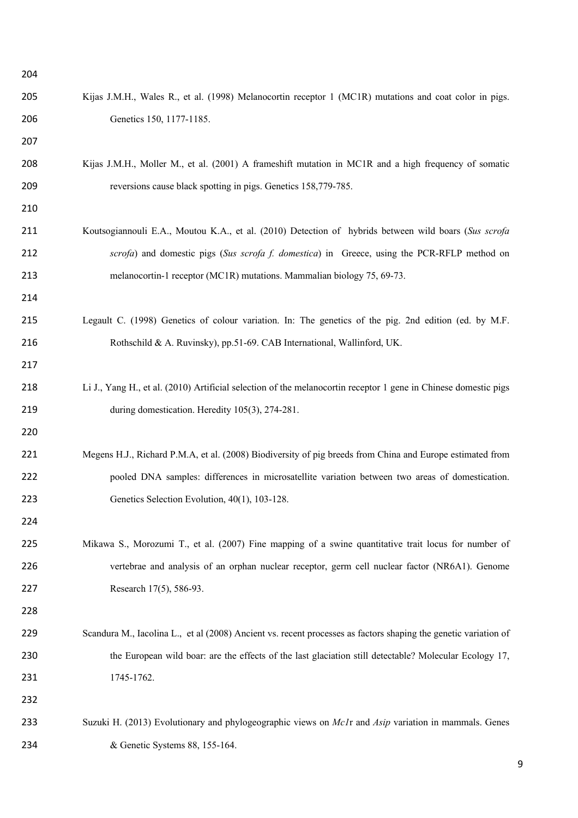| 204 |                                                                                                                     |
|-----|---------------------------------------------------------------------------------------------------------------------|
| 205 | Kijas J.M.H., Wales R., et al. (1998) Melanocortin receptor 1 (MC1R) mutations and coat color in pigs.              |
| 206 | Genetics 150, 1177-1185.                                                                                            |
| 207 |                                                                                                                     |
| 208 | Kijas J.M.H., Moller M., et al. (2001) A frameshift mutation in MC1R and a high frequency of somatic                |
| 209 | reversions cause black spotting in pigs. Genetics 158,779-785.                                                      |
| 210 |                                                                                                                     |
| 211 | Koutsogiannouli E.A., Moutou K.A., et al. (2010) Detection of hybrids between wild boars (Sus scrofa                |
| 212 | scrofa) and domestic pigs (Sus scrofa f. domestica) in Greece, using the PCR-RFLP method on                         |
| 213 | melanocortin-1 receptor (MC1R) mutations. Mammalian biology 75, 69-73.                                              |
| 214 |                                                                                                                     |
| 215 | Legault C. (1998) Genetics of colour variation. In: The genetics of the pig. 2nd edition (ed. by M.F.               |
| 216 | Rothschild & A. Ruvinsky), pp.51-69. CAB International, Wallinford, UK.                                             |
| 217 |                                                                                                                     |
| 218 | Li J., Yang H., et al. (2010) Artificial selection of the melanocortin receptor 1 gene in Chinese domestic pigs     |
| 219 | during domestication. Heredity 105(3), 274-281.                                                                     |
| 220 |                                                                                                                     |
| 221 | Megens H.J., Richard P.M.A, et al. (2008) Biodiversity of pig breeds from China and Europe estimated from           |
| 222 | pooled DNA samples: differences in microsatellite variation between two areas of domestication.                     |
| 223 | Genetics Selection Evolution, 40(1), 103-128.                                                                       |
| 224 |                                                                                                                     |
| 225 | Mikawa S., Morozumi T., et al. (2007) Fine mapping of a swine quantitative trait locus for number of                |
| 226 | vertebrae and analysis of an orphan nuclear receptor, germ cell nuclear factor (NR6A1). Genome                      |
| 227 | Research 17(5), 586-93.                                                                                             |
| 228 |                                                                                                                     |
| 229 | Scandura M., Iacolina L., et al (2008) Ancient vs. recent processes as factors shaping the genetic variation of     |
| 230 | the European wild boar: are the effects of the last glaciation still detectable? Molecular Ecology 17,              |
| 231 | 1745-1762.                                                                                                          |
| 232 |                                                                                                                     |
| 233 | Suzuki H. (2013) Evolutionary and phylogeographic views on <i>McI</i> r and <i>Asip</i> variation in mammals. Genes |
| 234 | & Genetic Systems 88, 155-164.                                                                                      |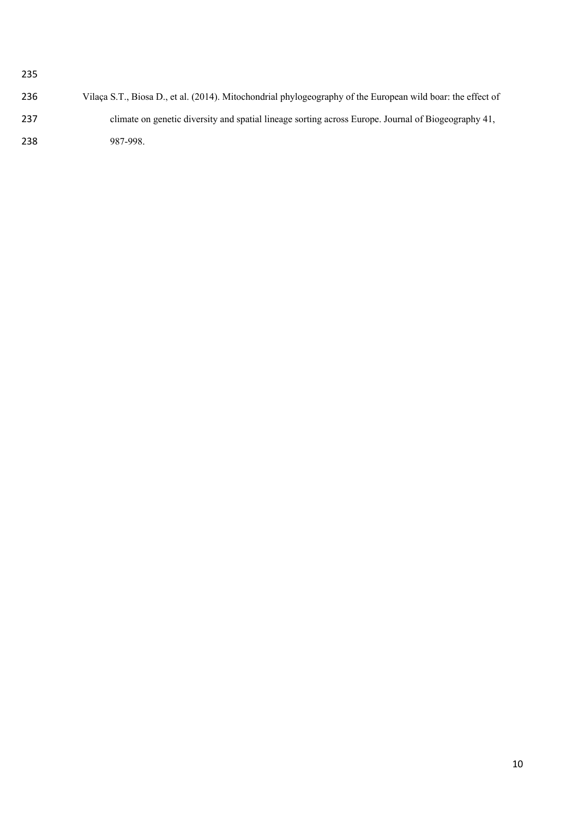| 236 | Vilaça S.T., Biosa D., et al. (2014). Mitochondrial phylogeography of the European wild boar: the effect of |
|-----|-------------------------------------------------------------------------------------------------------------|
| 237 | climate on genetic diversity and spatial lineage sorting across Europe. Journal of Biogeography 41,         |
| 238 | 987-998.                                                                                                    |